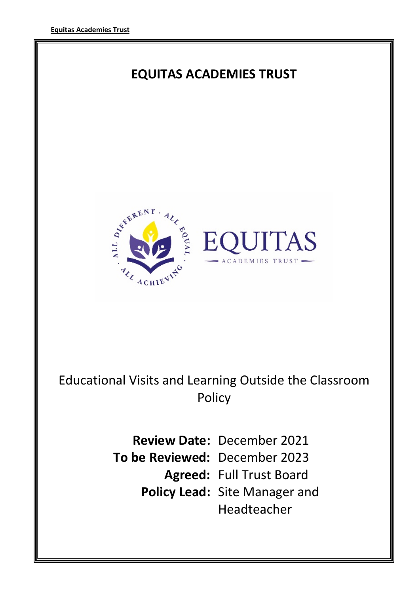

Headteacher

1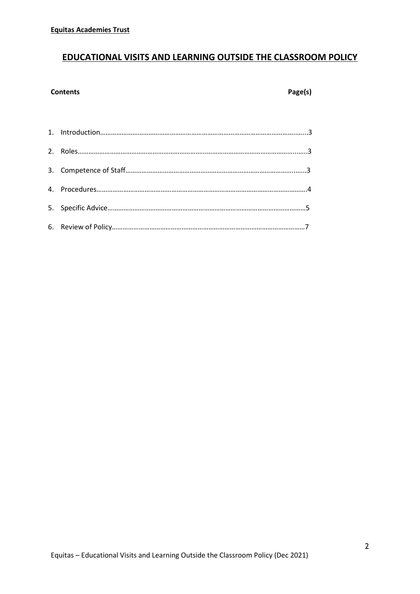# EDUCATIONAL VISITS AND LEARNING OUTSIDE THE CLASSROOM POLICY

# Contents Page(s)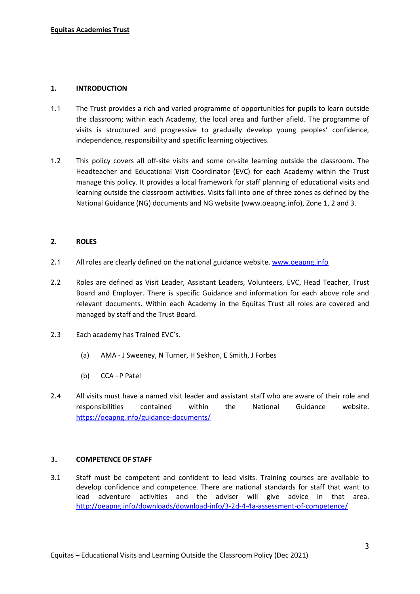# 1. INTRODUCTION

- 1.1 The Trust provides a rich and varied programme of opportunities for pupils to learn outside the classroom; within each Academy, the local area and further afield. The programme of visits is structured and progressive to gradually develop young peoples' confidence, independence, responsibility and specific learning objectives.
- 1.2 This policy covers all off-site visits and some on-site learning outside the classroom. The Headteacher and Educational Visit Coordinator (EVC) for each Academy within the Trust manage this policy. It provides a local framework for staff planning of educational visits and learning outside the classroom activities. Visits fall into one of three zones as defined by the National Guidance (NG) documents and NG website (www.oeapng.info), Zone 1, 2 and 3.

# 2. ROLES

- 2.1 All roles are clearly defined on the national guidance website. www.oeapng.info
- 2.2 Roles are defined as Visit Leader, Assistant Leaders, Volunteers, EVC, Head Teacher, Trust Board and Employer. There is specific Guidance and information for each above role and relevant documents. Within each Academy in the Equitas Trust all roles are covered and managed by staff and the Trust Board.
- 2.3 Each academy has Trained EVC's.
	- (a) AMA J Sweeney, N Turner, H Sekhon, E Smith, J Forbes
	- (b) CCA –P Patel
- 2.4 All visits must have a named visit leader and assistant staff who are aware of their role and responsibilities contained within the National Guidance website. https://oeapng.info/guidance-documents/

### 3. COMPETENCE OF STAFF

3.1 Staff must be competent and confident to lead visits. Training courses are available to develop confidence and competence. There are national standards for staff that want to lead adventure activities and the adviser will give advice in that area. http://oeapng.info/downloads/download-info/3-2d-4-4a-assessment-of-competence/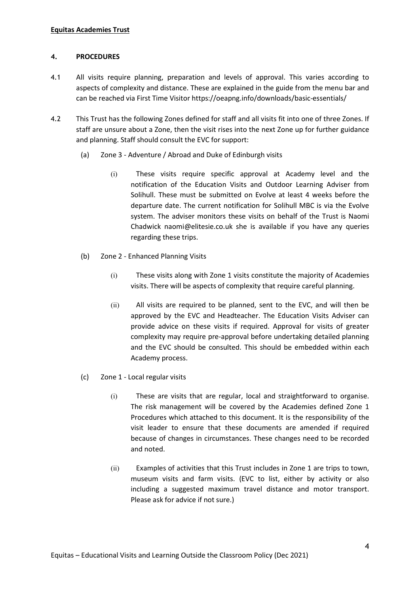# 4. PROCEDURES

- 4.1 All visits require planning, preparation and levels of approval. This varies according to aspects of complexity and distance. These are explained in the guide from the menu bar and can be reached via First Time Visitor https://oeapng.info/downloads/basic-essentials/
- 4.2 This Trust has the following Zones defined for staff and all visits fit into one of three Zones. If staff are unsure about a Zone, then the visit rises into the next Zone up for further guidance and planning. Staff should consult the EVC for support:
	- (a) Zone 3 Adventure / Abroad and Duke of Edinburgh visits
		- (i) These visits require specific approval at Academy level and the notification of the Education Visits and Outdoor Learning Adviser from Solihull. These must be submitted on Evolve at least 4 weeks before the departure date. The current notification for Solihull MBC is via the Evolve system. The adviser monitors these visits on behalf of the Trust is Naomi Chadwick naomi@elitesie.co.uk she is available if you have any queries regarding these trips.
	- (b) Zone 2 Enhanced Planning Visits
		- (i) These visits along with Zone 1 visits constitute the majority of Academies visits. There will be aspects of complexity that require careful planning.
		- (ii) All visits are required to be planned, sent to the EVC, and will then be approved by the EVC and Headteacher. The Education Visits Adviser can provide advice on these visits if required. Approval for visits of greater complexity may require pre-approval before undertaking detailed planning and the EVC should be consulted. This should be embedded within each Academy process.
	- (c) Zone 1 Local regular visits
		- (i) These are visits that are regular, local and straightforward to organise. The risk management will be covered by the Academies defined Zone 1 Procedures which attached to this document. It is the responsibility of the visit leader to ensure that these documents are amended if required because of changes in circumstances. These changes need to be recorded and noted.
		- (ii) Examples of activities that this Trust includes in Zone 1 are trips to town, museum visits and farm visits. (EVC to list, either by activity or also including a suggested maximum travel distance and motor transport. Please ask for advice if not sure.)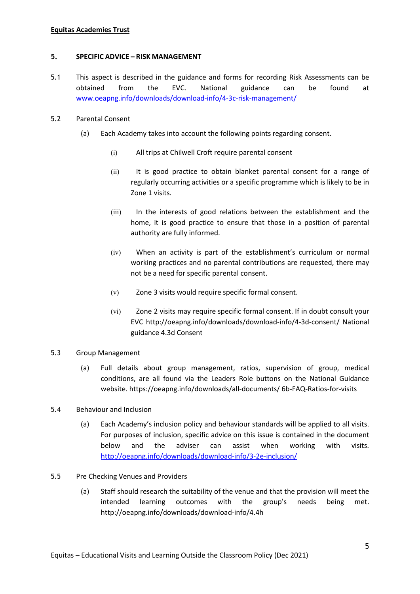# Equitas Academies Trust

### 5. SPECIFIC ADVICE – RISK MANAGEMENT

5.1 This aspect is described in the guidance and forms for recording Risk Assessments can be obtained from the EVC. National guidance can be found at www.oeapng.info/downloads/download-info/4-3c-risk-management/

# 5.2 Parental Consent

- (a) Each Academy takes into account the following points regarding consent.
	- (i) All trips at Chilwell Croft require parental consent
	- (ii) It is good practice to obtain blanket parental consent for a range of regularly occurring activities or a specific programme which is likely to be in Zone 1 visits.
	- (iii) In the interests of good relations between the establishment and the home, it is good practice to ensure that those in a position of parental authority are fully informed.
	- (iv) When an activity is part of the establishment's curriculum or normal working practices and no parental contributions are requested, there may not be a need for specific parental consent.
	- (v) Zone 3 visits would require specific formal consent.
	- (vi) Zone 2 visits may require specific formal consent. If in doubt consult your EVC http://oeapng.info/downloads/download-info/4-3d-consent/ National guidance 4.3d Consent

# 5.3 Group Management

- (a) Full details about group management, ratios, supervision of group, medical conditions, are all found via the Leaders Role buttons on the National Guidance website. https://oeapng.info/downloads/all-documents/ 6b-FAQ-Ratios-for-visits
- 5.4 Behaviour and Inclusion
	- (a) Each Academy's inclusion policy and behaviour standards will be applied to all visits. For purposes of inclusion, specific advice on this issue is contained in the document below and the adviser can assist when working with visits. http://oeapng.info/downloads/download-info/3-2e-inclusion/
- 5.5 Pre Checking Venues and Providers
	- (a) Staff should research the suitability of the venue and that the provision will meet the intended learning outcomes with the group's needs being met. http://oeapng.info/downloads/download-info/4.4h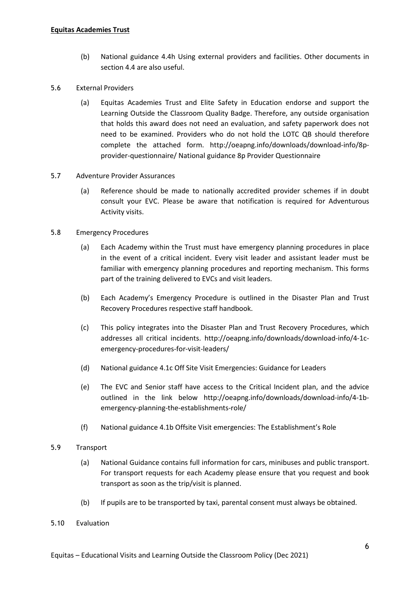- (b) National guidance 4.4h Using external providers and facilities. Other documents in section 4.4 are also useful.
- 5.6 External Providers
	- (a) Equitas Academies Trust and Elite Safety in Education endorse and support the Learning Outside the Classroom Quality Badge. Therefore, any outside organisation that holds this award does not need an evaluation, and safety paperwork does not need to be examined. Providers who do not hold the LOTC QB should therefore complete the attached form. http://oeapng.info/downloads/download-info/8pprovider-questionnaire/ National guidance 8p Provider Questionnaire
- 5.7 Adventure Provider Assurances
	- (a) Reference should be made to nationally accredited provider schemes if in doubt consult your EVC. Please be aware that notification is required for Adventurous Activity visits.

# 5.8 Emergency Procedures

- (a) Each Academy within the Trust must have emergency planning procedures in place in the event of a critical incident. Every visit leader and assistant leader must be familiar with emergency planning procedures and reporting mechanism. This forms part of the training delivered to EVCs and visit leaders.
- (b) Each Academy's Emergency Procedure is outlined in the Disaster Plan and Trust Recovery Procedures respective staff handbook.
- (c) This policy integrates into the Disaster Plan and Trust Recovery Procedures, which addresses all critical incidents. http://oeapng.info/downloads/download-info/4-1cemergency-procedures-for-visit-leaders/
- (d) National guidance 4.1c Off Site Visit Emergencies: Guidance for Leaders
- (e) The EVC and Senior staff have access to the Critical Incident plan, and the advice outlined in the link below http://oeapng.info/downloads/download-info/4-1bemergency-planning-the-establishments-role/
- (f) National guidance 4.1b Offsite Visit emergencies: The Establishment's Role

### 5.9 Transport

- (a) National Guidance contains full information for cars, minibuses and public transport. For transport requests for each Academy please ensure that you request and book transport as soon as the trip/visit is planned.
- (b) If pupils are to be transported by taxi, parental consent must always be obtained.

# 5.10 Evaluation